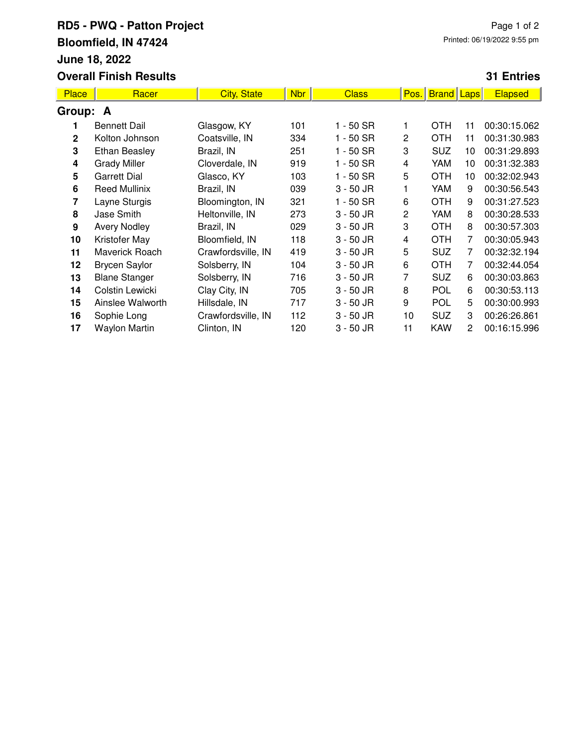## **RD5 - PWQ - Patton Project Bloomfield, IN 47424 June 18, 2022 Overall Finish Results**

## **31 Entries**

| <b>Place</b> | Racer                | <b>City, State</b> | <b>Nbr</b> | <b>Class</b> | Pos. | <b>Brand Laps</b> |    | <b>Elapsed</b> |  |  |  |
|--------------|----------------------|--------------------|------------|--------------|------|-------------------|----|----------------|--|--|--|
| Group: A     |                      |                    |            |              |      |                   |    |                |  |  |  |
|              | <b>Bennett Dail</b>  | Glasgow, KY        | 101        | $1 - 50$ SR  |      | <b>OTH</b>        | 11 | 00:30:15.062   |  |  |  |
| $\mathbf{2}$ | Kolton Johnson       | Coatsville, IN     | 334        | 1 - 50 SR    | 2    | <b>OTH</b>        | 11 | 00:31:30.983   |  |  |  |
| 3            | <b>Ethan Beasley</b> | Brazil, IN         | 251        | 1 - 50 SR    | 3    | <b>SUZ</b>        | 10 | 00:31:29.893   |  |  |  |
| 4            | <b>Grady Miller</b>  | Cloverdale, IN     | 919        | 1 - 50 SR    | 4    | YAM               | 10 | 00:31:32.383   |  |  |  |
| 5            | <b>Garrett Dial</b>  | Glasco, KY         | 103        | $1 - 50$ SR  | 5    | <b>OTH</b>        | 10 | 00:32:02.943   |  |  |  |
| 6            | <b>Reed Mullinix</b> | Brazil, IN         | 039        | $3 - 50$ JR  |      | YAM               | 9  | 00:30:56.543   |  |  |  |
| 7            | Layne Sturgis        | Bloomington, IN    | 321        | $1 - 50$ SR  | 6    | <b>OTH</b>        | 9  | 00:31:27.523   |  |  |  |
| 8            | Jase Smith           | Heltonville, IN    | 273        | $3 - 50$ JR  | 2    | YAM               | 8  | 00:30:28.533   |  |  |  |
| 9            | <b>Avery Nodley</b>  | Brazil, IN         | 029        | $3 - 50$ JR  | 3    | <b>OTH</b>        | 8  | 00:30:57.303   |  |  |  |
| 10           | Kristofer May        | Bloomfield, IN     | 118        | $3 - 50$ JR  | 4    | <b>OTH</b>        | 7  | 00:30:05.943   |  |  |  |
| 11           | Maverick Roach       | Crawfordsville, IN | 419        | $3 - 50$ JR  | 5    | <b>SUZ</b>        | 7  | 00:32:32.194   |  |  |  |
| 12           | <b>Brycen Saylor</b> | Solsberry, IN      | 104        | $3 - 50$ JR  | 6    | <b>OTH</b>        | 7  | 00:32:44.054   |  |  |  |
| 13           | <b>Blane Stanger</b> | Solsberry, IN      | 716        | $3 - 50$ JR  | 7    | <b>SUZ</b>        | 6  | 00:30:03.863   |  |  |  |
| 14           | Colstin Lewicki      | Clay City, IN      | 705        | $3 - 50$ JR  | 8    | POL               | 6  | 00:30:53.113   |  |  |  |
| 15           | Ainslee Walworth     | Hillsdale, IN      | 717        | $3 - 50$ JR  | 9    | POL               | 5  | 00:30:00.993   |  |  |  |
| 16           | Sophie Long          | Crawfordsville, IN | 112        | $3 - 50$ JR  | 10   | <b>SUZ</b>        | 3  | 00:26:26.861   |  |  |  |
| 17           | <b>Waylon Martin</b> | Clinton, IN        | 120        | $3 - 50$ JR  | 11   | <b>KAW</b>        | 2  | 00:16:15.996   |  |  |  |